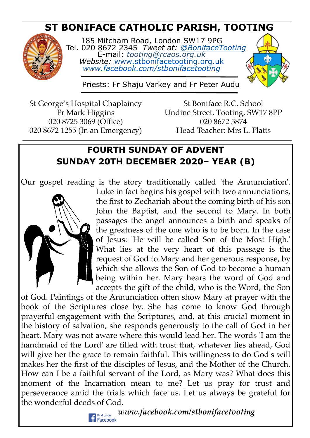# **ST BONIFACE CATHOLIC PARISH, TOOTING**



185 Mitcham Road, London SW17 9PG Tel. 020 8672 2345 *Tweet at: [@BonifaceTooting](http://twitter.com/bonifacetooting)* E-mail: *tooting@rcaos.org.uk Website:* [www.stbonifacetooting.org.uk](http://www.stbonifacetooting.org.uk) *[www.facebook.com/stbonifacetooting](http://www.facebook.com/stbonifacetooting)*



Priests: Fr Shaju Varkey and Fr Peter Audu

St George's Hospital Chaplaincy Fr Mark Higgins 020 8725 3069 (Office) 020 8672 1255 (In an Emergency)

St Boniface R.C. School Undine Street, Tooting, SW17 8PP 020 8672 5874 Head Teacher: Mrs L. Platts

### **FOURTH SUNDAY OF ADVENT SUNDAY 20TH DECEMBER 2020– YEAR (B)**

Our gospel reading is the story traditionally called 'the Annunciation'.



Luke in fact begins his gospel with two annunciations, the first to Zechariah about the coming birth of his son John the Baptist, and the second to Mary. In both passages the angel announces a birth and speaks of the greatness of the one who is to be born. In the case of Jesus: 'He will be called Son of the Most High.' What lies at the very heart of this passage is the request of God to Mary and her generous response, by which she allows the Son of God to become a human being within her. Mary hears the word of God and accepts the gift of the child, who is the Word, the Son

of God. Paintings of the Annunciation often show Mary at prayer with the book of the Scriptures close by. She has come to know God through prayerful engagement with the Scriptures, and, at this crucial moment in the history of salvation, she responds generously to the call of God in her heart. Mary was not aware where this would lead her. The words 'I am the handmaid of the Lord' are filled with trust that, whatever lies ahead, God will give her the grace to remain faithful. This willingness to do God's will makes her the first of the disciples of Jesus, and the Mother of the Church. How can I be a faithful servant of the Lord, as Mary was? What does this moment of the Incarnation mean to me? Let us pray for trust and perseverance amid the trials which face us. Let us always be grateful for the wonderful deeds of God.

*www.facebook.com/stbonifacetooting*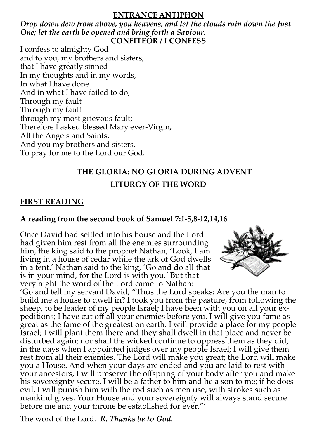#### **ENTRANCE ANTIPHON**

*Drop down dew from above, you heavens, and let the clouds rain down the Just One; let the earth be opened and bring forth a Saviour.*   **CONFITEOR / I CONFESS**

I confess to almighty God and to you, my brothers and sisters, that I have greatly sinned In my thoughts and in my words, In what I have done And in what I have failed to do, Through my fault Through my fault through my most grievous fault; Therefore I asked blessed Mary ever-Virgin, All the Angels and Saints, And you my brothers and sisters, To pray for me to the Lord our God.

### **THE GLORIA: NO GLORIA DURING ADVENT LITURGY OF THE WORD**

#### **FIRST READING**

#### **A reading from the second book of Samuel 7:1-5,8-12,14,16**

Once David had settled into his house and the Lord had given him rest from all the enemies surrounding him, the king said to the prophet Nathan, 'Look, I am living in a house of cedar while the ark of God dwells in a tent.' Nathan said to the king, 'Go and do all that is in your mind, for the Lord is with you.' But that very night the word of the Lord came to Nathan:



'Go and tell my servant David, "Thus the Lord speaks: Are you the man to build me a house to dwell in? I took you from the pasture, from following the sheep, to be leader of my people Israel; I have been with you on all your expeditions; I have cut off all your enemies before you. I will give you fame as great as the fame of the greatest on earth. I will provide a place for my people Israel; I will plant them there and they shall dwell in that place and never be disturbed again; nor shall the wicked continue to oppress them as they did, in the days when I appointed judges over my people Israel; I will give them rest from all their enemies. The Lord will make you great; the Lord will make you a House. And when your days are ended and you are laid to rest with your ancestors, I will preserve the offspring of your body after you and make his sovereignty secure. I will be a father to him and he a son to me; if he does evil, I will punish him with the rod such as men use, with strokes such as mankind gives. Your House and your sovereignty will always stand secure before me and your throne be established for ever."'

The word of the Lord. *R. Thanks be to God.*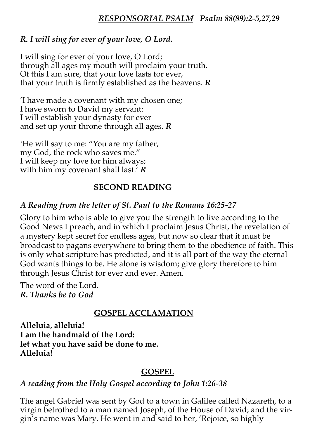### *R. I will sing for ever of your love, O Lord.*

I will sing for ever of your love, O Lord; through all ages my mouth will proclaim your truth. Of this I am sure, that your love lasts for ever, that your truth is firmly established as the heavens. *R*

'I have made a covenant with my chosen one; I have sworn to David my servant: I will establish your dynasty for ever and set up your throne through all ages. *R*

*'*He will say to me: "You are my father, my God, the rock who saves me." I will keep my love for him always; with him my covenant shall last.' *R*

### **SECOND READING**

### *A Reading from the letter of St. Paul to the Romans 16:25-27*

Glory to him who is able to give you the strength to live according to the Good News I preach, and in which I proclaim Jesus Christ, the revelation of a mystery kept secret for endless ages, but now so clear that it must be broadcast to pagans everywhere to bring them to the obedience of faith. This is only what scripture has predicted, and it is all part of the way the eternal God wants things to be. He alone is wisdom; give glory therefore to him through Jesus Christ for ever and ever. Amen.

The word of the Lord. *R. Thanks be to God*

### **GOSPEL ACCLAMATION**

**Alleluia, alleluia! I am the handmaid of the Lord: let what you have said be done to me. Alleluia!** 

### **GOSPEL**

### *A reading from the Holy Gospel according to John 1:26-38*

The angel Gabriel was sent by God to a town in Galilee called Nazareth, to a virgin betrothed to a man named Joseph, of the House of David; and the virgin's name was Mary. He went in and said to her, 'Rejoice, so highly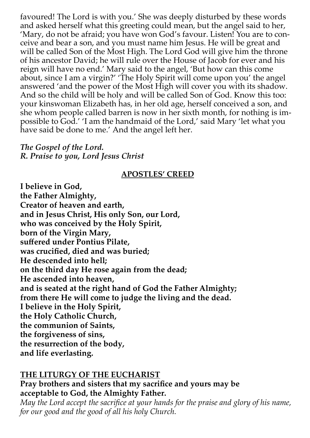favoured! The Lord is with you.' She was deeply disturbed by these words and asked herself what this greeting could mean, but the angel said to her, 'Mary, do not be afraid; you have won God's favour. Listen! You are to conceive and bear a son, and you must name him Jesus. He will be great and will be called Son of the Most High. The Lord God will give him the throne of his ancestor David; he will rule over the House of Jacob for ever and his reign will have no end.' Mary said to the angel, 'But how can this come about, since I am a virgin?' 'The Holy Spirit will come upon you' the angel answered 'and the power of the Most High will cover you with its shadow. And so the child will be holy and will be called Son of God. Know this too: your kinswoman Elizabeth has, in her old age, herself conceived a son, and she whom people called barren is now in her sixth month, for nothing is impossible to God.' 'I am the handmaid of the Lord,' said Mary 'let what you have said be done to me.' And the angel left her.

*The Gospel of the Lord. R. Praise to you, Lord Jesus Christ*

#### **APOSTLES' CREED**

**I believe in God, the Father Almighty, Creator of heaven and earth, and in Jesus Christ, His only Son, our Lord, who was conceived by the Holy Spirit, born of the Virgin Mary, suffered under Pontius Pilate, was crucified, died and was buried; He descended into hell; on the third day He rose again from the dead; He ascended into heaven, and is seated at the right hand of God the Father Almighty; from there He will come to judge the living and the dead. I believe in the Holy Spirit, the Holy Catholic Church, the communion of Saints, the forgiveness of sins, the resurrection of the body, and life everlasting.** 

#### **THE LITURGY OF THE EUCHARIST**

#### **Pray brothers and sisters that my sacrifice and yours may be acceptable to God, the Almighty Father.**

*May the Lord accept the sacrifice at your hands for the praise and glory of his name, for our good and the good of all his holy Church.*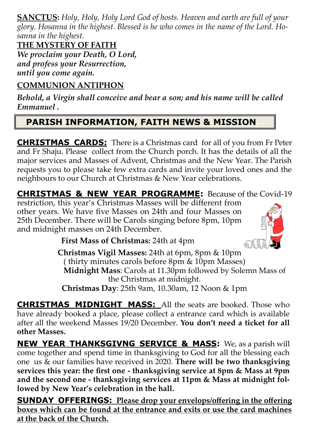**SANCTUS:** *Holy, Holy, Holy Lord God of hosts. Heaven and earth are full of your glory. Hosanna in the highest. Blessed is he who comes in the name of the Lord. Hosanna in the highest.* 

#### **THE MYSTERY OF FAITH**

*We proclaim your Death, O Lord, and profess your Resurrection, until you come again.* 

### **COMMUNION ANTIPHON**

*Behold, a Virgin shall conceive and bear a son; and his name will be called Emmanuel .* 

## **PARISH INFORMATION, FAITH NEWS & MISSION**

**CHRISTMAS CARDS:** There is a Christmas card for all of you from Fr Peter and Fr Shaju. Please collect from the Church porch. It has the details of all the major services and Masses of Advent, Christmas and the New Year. The Parish requests you to please take few extra cards and invite your loved ones and the neighbours to our Church at Christmas & New Year celebrations.

### **CHRISTMAS & NEW YEAR PROGRAMME:** Because of the Covid-19

restriction, this year's Christmas Masses will be different from other years. We have five Masses on 24th and four Masses on 25th December. There will be Carols singing before 8pm, 10pm and midnight masses on 24th December.

**First Mass of Christmas:** 24th at 4pm



 **Christmas Vigil Masses:** 24th at 6pm, 8pm & 10pm ( thirty minutes carols before 8pm & 10pm Masses)  **Midnight Mass**: Carols at 11.30pm followed by Solemn Mass of the Christmas at midnight. **Christmas Day**: 25th 9am, 10.30am, 12 Noon & 1pm

**CHRISTMAS MIDNIGHT MASS:** All the seats are booked. Those who have already booked a place, please collect a entrance card which is available after all the weekend Masses 19/20 December. **You don't need a ticket for all other Masses.**

**NEW YEAR THANKSGIVNG SERVICE & MASS:** We, as a parish will come together and spend time in thanksgiving to God for all the blessing each one us & our families have received in 2020. **There will be two thanksgiving services this year: the first one - thanksgiving service at 8pm & Mass at 9pm and the second one - thanksgiving services at 11pm & Mass at midnight followed by New Year's celebration in the hall.**

**SUNDAY OFFERINGS: Please drop your envelops/offering in the offering boxes which can be found at the entrance and exits or use the card machines at the back of the Church.**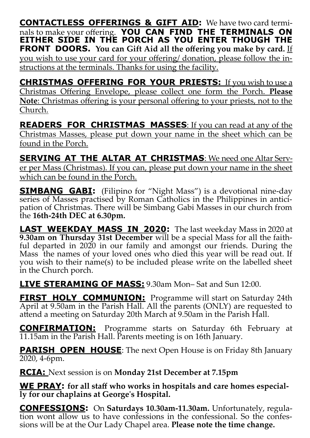**CONTACTLESS OFFERINGS & GIFT AID:** We have two card terminals to make your offering. **YOU CAN FIND THE TERMINALS ON EITHER SIDE IN THE PORCH AS YOU ENTER THOUGH THE FRONT DOORS. You can Gift Aid all the offering you make by card.** If you wish to use your card for your offering/ donation, please follow the instructions at the terminals. Thanks for using the facility.

**CHRISTMAS OFFERING FOR YOUR PRIESTS:** If you wish to use a Christmas Offering Envelope, please collect one form the Porch. **Please Note**: Christmas offering is your personal offering to your priests, not to the Church.

**READERS FOR CHRISTMAS MASSES**: If you can read at any of the Christmas Masses, please put down your name in the sheet which can be found in the Porch.

**SERVING AT THE ALTAR AT CHRISTMAS**: We need one Altar Server per Mass (Christmas). If you can, please put down your name in the sheet which can be found in the Porch.

**SIMBANG GABI:** (Filipino for "Night Mass") is a devotional nine-day series of Masses practised by Roman Catholics in the Philippines in anticipation of Christmas. There will be Simbang Gabi Masses in our church from the **16th-24th DEC at 6.30pm.**

**LAST WEEKDAY MASS IN 2020:** The last weekday Mass in 2020 at **9.30am on Thursday 31st December** will be a special Mass for all the faithful departed in 2020 in our family and amongst our friends. During the Mass the names of your loved ones who died this year will be read out. If you wish to their name(s) to be included please write on the labelled sheet in the Church porch.

**LIVE STERAMING OF MASS:** 9.30am Mon– Sat and Sun 12:00.

**FIRST HOLY COMMUNION:** Programme will start on Saturday 24th April at 9.50am in the Parish Hall. All the parents (ONLY) are requested to attend a meeting on Saturday 20th March at 9.50am in the Parish Hall.

**CONFIRMATION:** Programme starts on Saturday 6th February at 11.15am in the Parish Hall. Parents meeting is on 16th January.

**PARISH OPEN HOUSE:** The next Open House is on Friday 8th January 2020, 4-6pm.

**RCIA:** Next session is on **Monday 21st December at 7.15pm**

**WE PRAY: for all staff who works in hospitals and care homes especially for our chaplains at George's Hospital.** 

**CONFESSIONS:** On **Saturdays 10.30am-11.30am.** Unfortunately, regulation wont allow us to have confessions in the confessional. So the confessions will be at the Our Lady Chapel area. **Please note the time change.**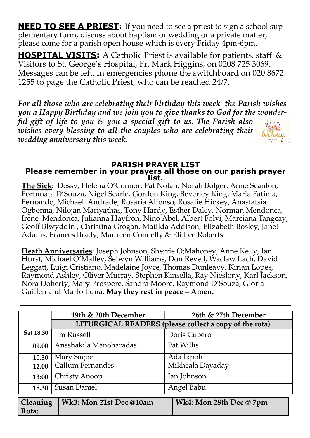**NEED TO SEE A PRIEST:** If you need to see a priest to sign a school supplementary form, discuss about baptism or wedding or a private matter, please come for a parish open house which is every Friday 4pm-6pm.

**HOSPITAL VISITS:** A Catholic Priest is available for patients, staff & Visitors to St. George's Hospital, Fr. Mark Higgins, on 0208 725 3069. Messages can be left. In emergencies phone the switchboard on 020 8672 1255 to page the Catholic Priest, who can be reached 24/7.

*For all those who are celebrating their birthday this week the Parish wishes you a Happy Birthday and we join you to give thanks to God for the wonderful gift of life to you & you a special gift to us. The Parish also*  wishes every blessing to all the couples who are celebrating their *wedding anniversary this week.*

#### **PARISH PRAYER LIST Please remember in your prayers all those on our parish prayer list.**

**The Sick:** Dessy, Helena O'Connor, Pat Nolan, Norah Bolger, Anne Scanlon, Fortunata D'Souza, Nigel Searle, Gordon King, Beverley King, Maria Fatima, Fernando, Michael Andrade, Rosaria Alfonso, Rosalie Hickey, Anastatsia Ogbonna, Nilojan Mariyathas, Tony Hardy, Esther Daley, Norman Mendonca, Irene Mendonca, Julianna Hayfron, Nino Abel, Albert Folvi, Marciana Tangcay, Geoff Blwyddin , Christina Grogan, Matilda Addison, Elizabeth Bosley, Janet Adams, Frances Brady, Maureen Connelly & Eli Lee Roberts.

**Death Anniversaries**: Joseph Johnson, Sherrie O;Mahoney, Anne Kelly, Ian Hurst, Michael O'Malley, Selwyn Williams, Don Revell, Waclaw Lach, David Leggatt, Luigi Cristiano, Madelaine Joyce, Thomas Dunleavy, Kirian Lopes, Raymond Ashley, Oliver Murray, Stephen Kinsella, Ray Nieslony, Karl Jackson, Nora Doherty, Mary Prospere, Sandra Moore, Raymond D'Souza, Gloria Guillen and Marlo Luna. **May they rest in peace – Amen.**

|                   | 19th & 20th December                                   | 26th & 27th December    |  |  |  |
|-------------------|--------------------------------------------------------|-------------------------|--|--|--|
|                   | LITURGICAL READERS (please collect a copy of the rota) |                         |  |  |  |
| Sat 18.30         | <b>Jim Russell</b>                                     | Doris Cubero            |  |  |  |
| 09.00             | Ansshakila Manoharadas                                 | Pat Willis              |  |  |  |
| 10.30             | Mary Sagoe                                             | Ada Ikpoh               |  |  |  |
| 12.00             | <b>Callum Fernandes</b><br>Mikheala Dayaday            |                         |  |  |  |
| 13:00             | <b>Christy Anoop</b>                                   | Ian Johnson             |  |  |  |
| 18.30             | <b>Susan Daniel</b>                                    | Angel Babu              |  |  |  |
| Cleaning<br>Rota: | Wk3: Mon 21st Dec @10am                                | Wk4: Mon 28th Dec @ 7pm |  |  |  |